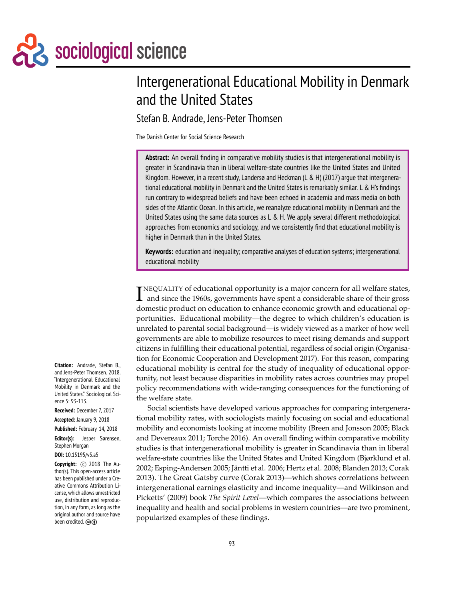Sociological science

# Intergenerational Educational Mobility in Denmark and the United States

Stefan B. Andrade, Jens-Peter Thomsen

The Danish Center for Social Science Research

**Abstract:** An overall finding in comparative mobility studies is that intergenerational mobility is greater in Scandinavia than in liberal welfare-state countries like the United States and United Kingdom. However, in a recent study, Landersø and Heckman (L & H) (2017) argue that intergenerational educational mobility in Denmark and the United States is remarkably similar. L & H's findings run contrary to widespread beliefs and have been echoed in academia and mass media on both sides of the Atlantic Ocean. In this article, we reanalyze educational mobility in Denmark and the United States using the same data sources as  $L \& H$ . We apply several different methodological approaches from economics and sociology, and we consistently find that educational mobility is higher in Denmark than in the United States.

**Keywords:** education and inequality; comparative analyses of education systems; intergenerational educational mobility

INEQUALITY of educational opportunity is a major concern for all welfare states,<br>and since the 1960s, governments have spent a considerable share of their gross NEQUALITY of educational opportunity is a major concern for all welfare states, domestic product on education to enhance economic growth and educational opportunities. Educational mobility—the degree to which children's education is unrelated to parental social background—is widely viewed as a marker of how well governments are able to mobilize resources to meet rising demands and support citizens in fulfilling their educational potential, regardless of social origin (Organisation for Economic Cooperation and Development 2017). For this reason, comparing educational mobility is central for the study of inequality of educational opportunity, not least because disparities in mobility rates across countries may propel policy recommendations with wide-ranging consequences for the functioning of the welfare state.

Social scientists have developed various approaches for comparing intergenerational mobility rates, with sociologists mainly focusing on social and educational mobility and economists looking at income mobility (Breen and Jonsson 2005; Black and Devereaux 2011; Torche 2016). An overall finding within comparative mobility studies is that intergenerational mobility is greater in Scandinavia than in liberal welfare-state countries like the United States and United Kingdom (Bjørklund et al. 2002; Esping-Andersen 2005; Jäntti et al. 2006; Hertz et al. 2008; Blanden 2013; Corak 2013). The Great Gatsby curve (Corak 2013)—which shows correlations between intergenerational earnings elasticity and income inequality—and Wilkinson and Picketts' (2009) book *The Spirit Level*—which compares the associations between inequality and health and social problems in western countries—are two prominent, popularized examples of these findings.

**Citation:** Andrade, Stefan B., and Jens-Peter Thomsen. 2018. "Intergenerational Educational Mobility in Denmark and the United States." Sociological Science 5: 93-113.

**Received:** December 7, 2017

**Accepted:** January 9, 2018

**Published:** February 14, 2018 **Editor(s):** Jesper Sørensen, Stephen Morgan

**DOI:** 10.15195/v5.a5

**Copyright:** C 2018 The Author(s). This open-access article has been published under a Creative Commons Attribution License, which allows unrestricted use, distribution and reproduction, in any form, as long as the original author and source have been credited.  $\circledcirc$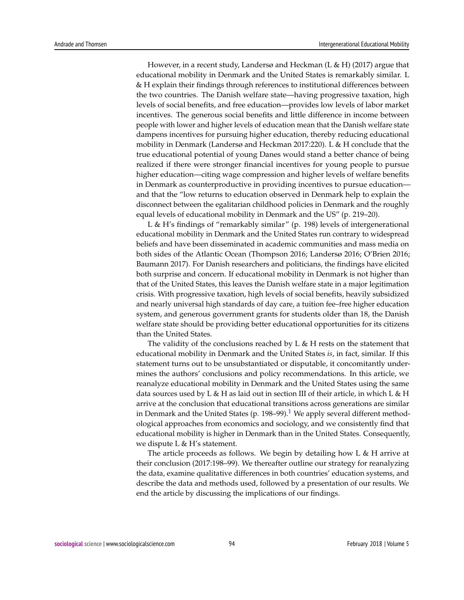However, in a recent study, Landersø and Heckman (L & H) (2017) argue that educational mobility in Denmark and the United States is remarkably similar. L & H explain their findings through references to institutional differences between the two countries. The Danish welfare state—having progressive taxation, high levels of social benefits, and free education—provides low levels of labor market incentives. The generous social benefits and little difference in income between people with lower and higher levels of education mean that the Danish welfare state dampens incentives for pursuing higher education, thereby reducing educational mobility in Denmark (Landersø and Heckman 2017:220). L & H conclude that the true educational potential of young Danes would stand a better chance of being realized if there were stronger financial incentives for young people to pursue higher education—citing wage compression and higher levels of welfare benefits in Denmark as counterproductive in providing incentives to pursue education and that the "low returns to education observed in Denmark help to explain the disconnect between the egalitarian childhood policies in Denmark and the roughly equal levels of educational mobility in Denmark and the US" (p. 219–20).

L & H's findings of "remarkably similar" (p. 198) levels of intergenerational educational mobility in Denmark and the United States run contrary to widespread beliefs and have been disseminated in academic communities and mass media on both sides of the Atlantic Ocean (Thompson 2016; Landersø 2016; O'Brien 2016; Baumann 2017). For Danish researchers and politicians, the findings have elicited both surprise and concern. If educational mobility in Denmark is not higher than that of the United States, this leaves the Danish welfare state in a major legitimation crisis. With progressive taxation, high levels of social benefits, heavily subsidized and nearly universal high standards of day care, a tuition fee–free higher education system, and generous government grants for students older than 18, the Danish welfare state should be providing better educational opportunities for its citizens than the United States.

The validity of the conclusions reached by L & H rests on the statement that educational mobility in Denmark and the United States *is*, in fact, similar. If this statement turns out to be unsubstantiated or disputable, it concomitantly undermines the authors' conclusions and policy recommendations. In this article, we reanalyze educational mobility in Denmark and the United States using the same data sources used by L & H as laid out in section III of their article, in which L & H arrive at the conclusion that educational transitions across generations are similar in Denmark and the United States (p. [1](#page-16-0)98–99).<sup>1</sup> We apply several different methodological approaches from economics and sociology, and we consistently find that educational mobility is higher in Denmark than in the United States. Consequently, we dispute L & H's statement.

<span id="page-1-0"></span>The article proceeds as follows. We begin by detailing how  $L \& H$  arrive at their conclusion (2017:198–99). We thereafter outline our strategy for reanalyzing the data, examine qualitative differences in both countries' education systems, and describe the data and methods used, followed by a presentation of our results. We end the article by discussing the implications of our findings.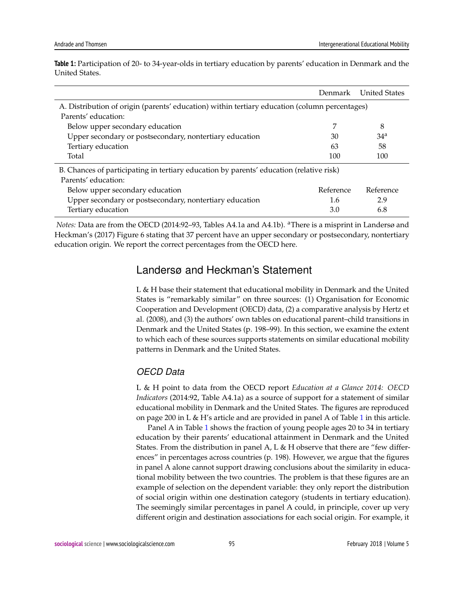|                                                                                               | Denmark   | <b>United States</b> |  |  |  |
|-----------------------------------------------------------------------------------------------|-----------|----------------------|--|--|--|
| A. Distribution of origin (parents' education) within tertiary education (column percentages) |           |                      |  |  |  |
| Parents' education:                                                                           |           |                      |  |  |  |
| Below upper secondary education                                                               |           | 8                    |  |  |  |
| Upper secondary or postsecondary, nontertiary education                                       | 30        | 34 <sup>a</sup>      |  |  |  |
| Tertiary education                                                                            | 63        | 58                   |  |  |  |
| Total                                                                                         | 100       | 100                  |  |  |  |
| B. Chances of participating in tertiary education by parents' education (relative risk)       |           |                      |  |  |  |
| Parents' education:                                                                           |           |                      |  |  |  |
| Below upper secondary education                                                               | Reference | Reference            |  |  |  |
| Upper secondary or postsecondary, nontertiary education                                       | 1.6       | 2.9                  |  |  |  |
| Tertiary education                                                                            | 3.0       | 6.8                  |  |  |  |

<span id="page-2-0"></span>**Table 1:** Participation of 20- to 34-year-olds in tertiary education by parents' education in Denmark and the United States.

*Notes:* Data are from the OECD (2014:92-93, Tables A4.1a and A4.1b). <sup>a</sup>There is a misprint in Landersø and Heckman's (2017) Figure 6 stating that 37 percent have an upper secondary or postsecondary, nontertiary education origin. We report the correct percentages from the OECD here.

## Landersø and Heckman's Statement

L & H base their statement that educational mobility in Denmark and the United States is "remarkably similar" on three sources: (1) Organisation for Economic Cooperation and Development (OECD) data, (2) a comparative analysis by Hertz et al. (2008), and (3) the authors' own tables on educational parent–child transitions in Denmark and the United States (p. 198–99). In this section, we examine the extent to which each of these sources supports statements on similar educational mobility patterns in Denmark and the United States.

## *OECD Data*

L & H point to data from the OECD report *Education at a Glance 2014: OECD Indicators* (2014:92, Table A4.1a) as a source of support for a statement of similar educational mobility in Denmark and the United States. The figures are reproduced on page 200 in L & H's article and are provided in panel A of Table [1](#page-2-0) in this article.

Panel A in Table [1](#page-2-0) shows the fraction of young people ages 20 to 34 in tertiary education by their parents' educational attainment in Denmark and the United States. From the distribution in panel A, L  $\&$  H observe that there are "few differences" in percentages across countries (p. 198). However, we argue that the figures in panel A alone cannot support drawing conclusions about the similarity in educational mobility between the two countries. The problem is that these figures are an example of selection on the dependent variable: they only report the distribution of social origin within one destination category (students in tertiary education). The seemingly similar percentages in panel A could, in principle, cover up very different origin and destination associations for each social origin. For example, it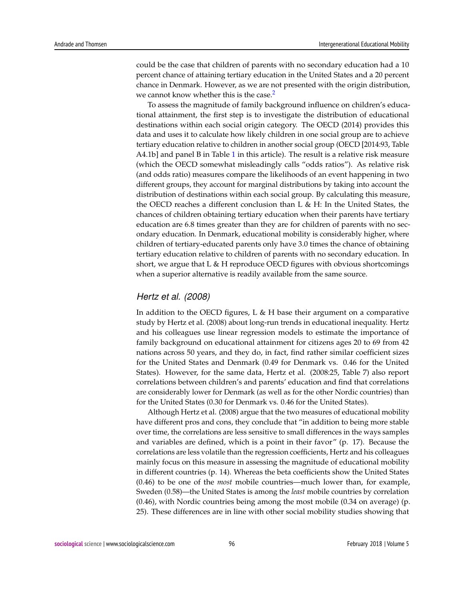could be the case that children of parents with no secondary education had a 10 percent chance of attaining tertiary education in the United States and a 20 percent chance in Denmark. However, as we are not presented with the origin distribution, we cannot know whether this is the case.<sup>[2](#page-16-1)</sup>

<span id="page-3-0"></span>To assess the magnitude of family background influence on children's educational attainment, the first step is to investigate the distribution of educational destinations within each social origin category. The OECD (2014) provides this data and uses it to calculate how likely children in one social group are to achieve tertiary education relative to children in another social group (OECD [2014:93, Table  $A4.1b$  $A4.1b$  $A4.1b$ ] and panel B in Table 1 in this article). The result is a relative risk measure (which the OECD somewhat misleadingly calls "odds ratios"). As relative risk (and odds ratio) measures compare the likelihoods of an event happening in two different groups, they account for marginal distributions by taking into account the distribution of destinations within each social group. By calculating this measure, the OECD reaches a different conclusion than L & H: In the United States, the chances of children obtaining tertiary education when their parents have tertiary education are 6.8 times greater than they are for children of parents with no secondary education. In Denmark, educational mobility is considerably higher, where children of tertiary-educated parents only have 3.0 times the chance of obtaining tertiary education relative to children of parents with no secondary education. In short, we argue that  $L \& H$  reproduce OECD figures with obvious shortcomings when a superior alternative is readily available from the same source.

#### *Hertz et al. (2008)*

In addition to the OECD figures, L & H base their argument on a comparative study by Hertz et al. (2008) about long-run trends in educational inequality. Hertz and his colleagues use linear regression models to estimate the importance of family background on educational attainment for citizens ages 20 to 69 from 42 nations across 50 years, and they do, in fact, find rather similar coefficient sizes for the United States and Denmark (0.49 for Denmark vs. 0.46 for the United States). However, for the same data, Hertz et al. (2008:25, Table 7) also report correlations between children's and parents' education and find that correlations are considerably lower for Denmark (as well as for the other Nordic countries) than for the United States (0.30 for Denmark vs. 0.46 for the United States).

Although Hertz et al. (2008) argue that the two measures of educational mobility have different pros and cons, they conclude that "in addition to being more stable over time, the correlations are less sensitive to small differences in the ways samples and variables are defined, which is a point in their favor" (p. 17). Because the correlations are less volatile than the regression coefficients, Hertz and his colleagues mainly focus on this measure in assessing the magnitude of educational mobility in different countries (p. 14). Whereas the beta coefficients show the United States (0.46) to be one of the *most* mobile countries—much lower than, for example, Sweden (0.58)—the United States is among the *least* mobile countries by correlation (0.46), with Nordic countries being among the most mobile (0.34 on average) (p. 25). These differences are in line with other social mobility studies showing that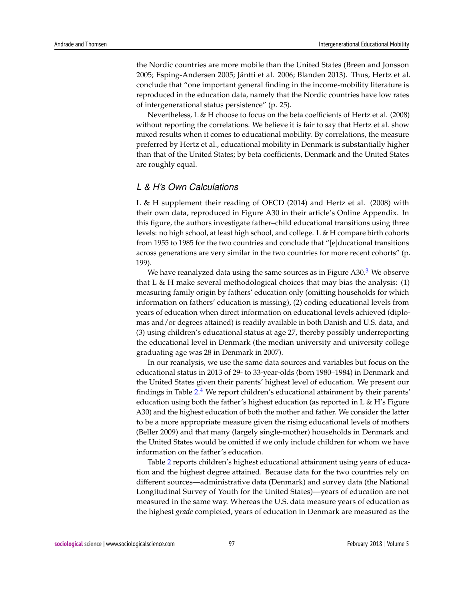the Nordic countries are more mobile than the United States (Breen and Jonsson 2005; Esping-Andersen 2005; Jäntti et al. 2006; Blanden 2013). Thus, Hertz et al. conclude that "one important general finding in the income-mobility literature is reproduced in the education data, namely that the Nordic countries have low rates of intergenerational status persistence" (p. 25).

Nevertheless, L & H choose to focus on the beta coefficients of Hertz et al. (2008) without reporting the correlations. We believe it is fair to say that Hertz et al. show mixed results when it comes to educational mobility. By correlations, the measure preferred by Hertz et al., educational mobility in Denmark is substantially higher than that of the United States; by beta coefficients, Denmark and the United States are roughly equal.

#### *L & H's Own Calculations*

L & H supplement their reading of OECD (2014) and Hertz et al. (2008) with their own data, reproduced in Figure A30 in their article's Online Appendix. In this figure, the authors investigate father–child educational transitions using three levels: no high school, at least high school, and college. L & H compare birth cohorts from 1955 to 1985 for the two countries and conclude that "[e]ducational transitions across generations are very similar in the two countries for more recent cohorts" (p. 199).

<span id="page-4-0"></span>We have reanalyzed data using the same sources as in Figure  $A30<sup>3</sup>$  $A30<sup>3</sup>$  $A30<sup>3</sup>$  We observe that L & H make several methodological choices that may bias the analysis:  $(1)$ measuring family origin by fathers' education only (omitting households for which information on fathers' education is missing), (2) coding educational levels from years of education when direct information on educational levels achieved (diplomas and/or degrees attained) is readily available in both Danish and U.S. data, and (3) using children's educational status at age 27, thereby possibly underreporting the educational level in Denmark (the median university and university college graduating age was 28 in Denmark in 2007).

<span id="page-4-1"></span>In our reanalysis, we use the same data sources and variables but focus on the educational status in 2013 of 29- to 33-year-olds (born 1980–1984) in Denmark and the United States given their parents' highest level of education. We present our findings in Table [2.](#page-5-0)<sup>[4](#page-16-3)</sup> We report children's educational attainment by their parents' education using both the father's highest education (as reported in L & H's Figure A30) and the highest education of both the mother and father. We consider the latter to be a more appropriate measure given the rising educational levels of mothers (Beller 2009) and that many (largely single-mother) households in Denmark and the United States would be omitted if we only include children for whom we have information on the father's education.

Table [2](#page-5-0) reports children's highest educational attainment using years of education and the highest degree attained. Because data for the two countries rely on different sources—administrative data (Denmark) and survey data (the National Longitudinal Survey of Youth for the United States)—years of education are not measured in the same way. Whereas the U.S. data measure years of education as the highest *grade* completed, years of education in Denmark are measured as the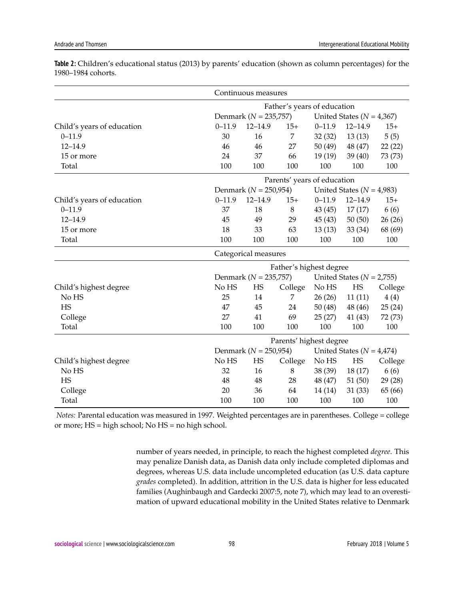|                            | Continuous measures                                        |                             |                |                               |             |         |  |
|----------------------------|------------------------------------------------------------|-----------------------------|----------------|-------------------------------|-------------|---------|--|
|                            |                                                            | Father's years of education |                |                               |             |         |  |
|                            | Denmark ( $N = 235,757$ )                                  |                             |                | United States ( $N = 4,367$ ) |             |         |  |
| Child's years of education | $0 - 11.9$                                                 | $12 - 14.9$                 | $15+$          | $0 - 11.9$                    | $12 - 14.9$ | $15+$   |  |
| $0 - 11.9$                 | 30                                                         | 16                          | $\overline{7}$ | 32(32)                        | 13(13)      | 5(5)    |  |
| $12 - 14.9$                | 46                                                         | 46                          | 27             | 50(49)                        | 48 (47)     | 22(22)  |  |
| 15 or more                 | 24                                                         | 37                          | 66             | 19(19)                        | 39(40)      | 73 (73) |  |
| Total                      | 100                                                        | 100                         | 100            | 100                           | 100         | 100     |  |
|                            | Parents' years of education                                |                             |                |                               |             |         |  |
|                            |                                                            | Denmark ( $N = 250,954$ )   |                | United States ( $N = 4,983$ ) |             |         |  |
| Child's years of education | $0 - 11.9$                                                 | $12 - 14.9$                 | $15+$          | $0 - 11.9$                    | $12 - 14.9$ | $15+$   |  |
| $0 - 11.9$                 | 37                                                         | 18                          | $8\,$          | 43(45)                        | 17(17)      | 6(6)    |  |
| $12 - 14.9$                | 45                                                         | 49                          | 29             | 45(43)                        | 50(50)      | 26(26)  |  |
| 15 or more                 | 18                                                         | 33                          | 63             | 13(13)                        | 33(34)      | 68 (69) |  |
| Total                      | 100                                                        | 100                         | 100            | 100                           | 100         | 100     |  |
|                            | Categorical measures                                       |                             |                |                               |             |         |  |
|                            | Father's highest degree                                    |                             |                |                               |             |         |  |
|                            | Denmark ( $N = 235,757$ )                                  |                             |                | United States ( $N = 2,755$ ) |             |         |  |
| Child's highest degree     | No HS                                                      | HS                          | College        | No HS                         | <b>HS</b>   | College |  |
| No HS                      | 25                                                         | 14                          | 7              | 26(26)                        | 11(11)      | 4(4)    |  |
| HS                         | 47                                                         | 45                          | 24             | 50(48)                        | 48 (46)     | 25(24)  |  |
| College                    | 27                                                         | 41                          | 69             | 25(27)                        | 41(43)      | 72 (73) |  |
| Total                      | 100                                                        | 100                         | 100            | 100                           | 100         | 100     |  |
|                            | Parents' highest degree                                    |                             |                |                               |             |         |  |
|                            | Denmark ( $N = 250,954$ )<br>United States ( $N = 4,474$ ) |                             |                |                               |             |         |  |
| Child's highest degree     | No HS                                                      | HS                          | College        | No HS                         | HS          | College |  |
| No HS                      | 32                                                         | 16                          | 8              | 38 (39)                       | 18(17)      | 6(6)    |  |
| <b>HS</b>                  | 48                                                         | 48                          | 28             | 48 (47)                       | 51(50)      | 29 (28) |  |
| College                    | 20                                                         | 36                          | 64             | 14 (14)                       | 31(33)      | 65 (66) |  |
| Total                      | 100                                                        | 100                         | 100            | 100                           | 100         | 100     |  |

<span id="page-5-0"></span>**Table 2:** Children's educational status (2013) by parents' education (shown as column percentages) for the 1980–1984 cohorts.

*Notes:* Parental education was measured in 1997. Weighted percentages are in parentheses. College = college or more; HS = high school; No HS = no high school.

> number of years needed, in principle, to reach the highest completed *degree*. This may penalize Danish data, as Danish data only include completed diplomas and degrees, whereas U.S. data include uncompleted education (as U.S. data capture *grades* completed). In addition, attrition in the U.S. data is higher for less educated families (Aughinbaugh and Gardecki 2007:5, note 7), which may lead to an overestimation of upward educational mobility in the United States relative to Denmark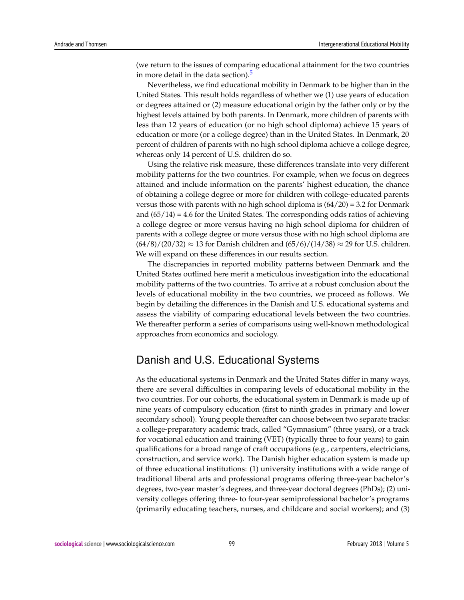<span id="page-6-0"></span>(we return to the issues of comparing educational attainment for the two countries in more detail in the data section). $<sup>5</sup>$  $<sup>5</sup>$  $<sup>5</sup>$ </sup>

Nevertheless, we find educational mobility in Denmark to be higher than in the United States. This result holds regardless of whether we (1) use years of education or degrees attained or (2) measure educational origin by the father only or by the highest levels attained by both parents. In Denmark, more children of parents with less than 12 years of education (or no high school diploma) achieve 15 years of education or more (or a college degree) than in the United States. In Denmark, 20 percent of children of parents with no high school diploma achieve a college degree, whereas only 14 percent of U.S. children do so.

Using the relative risk measure, these differences translate into very different mobility patterns for the two countries. For example, when we focus on degrees attained and include information on the parents' highest education, the chance of obtaining a college degree or more for children with college-educated parents versus those with parents with no high school diploma is  $(64/20) = 3.2$  for Denmark and  $(65/14) = 4.6$  for the United States. The corresponding odds ratios of achieving a college degree or more versus having no high school diploma for children of parents with a college degree or more versus those with no high school diploma are  $(64/8)/(20/32) \approx 13$  for Danish children and  $(65/6)/(14/38) \approx 29$  for U.S. children. We will expand on these differences in our results section.

The discrepancies in reported mobility patterns between Denmark and the United States outlined here merit a meticulous investigation into the educational mobility patterns of the two countries. To arrive at a robust conclusion about the levels of educational mobility in the two countries, we proceed as follows. We begin by detailing the differences in the Danish and U.S. educational systems and assess the viability of comparing educational levels between the two countries. We thereafter perform a series of comparisons using well-known methodological approaches from economics and sociology.

# Danish and U.S. Educational Systems

As the educational systems in Denmark and the United States differ in many ways, there are several difficulties in comparing levels of educational mobility in the two countries. For our cohorts, the educational system in Denmark is made up of nine years of compulsory education (first to ninth grades in primary and lower secondary school). Young people thereafter can choose between two separate tracks: a college-preparatory academic track, called "Gymnasium" (three years), or a track for vocational education and training (VET) (typically three to four years) to gain qualifications for a broad range of craft occupations (e.g., carpenters, electricians, construction, and service work). The Danish higher education system is made up of three educational institutions: (1) university institutions with a wide range of traditional liberal arts and professional programs offering three-year bachelor's degrees, two-year master's degrees, and three-year doctoral degrees (PhDs); (2) university colleges offering three- to four-year semiprofessional bachelor's programs (primarily educating teachers, nurses, and childcare and social workers); and (3)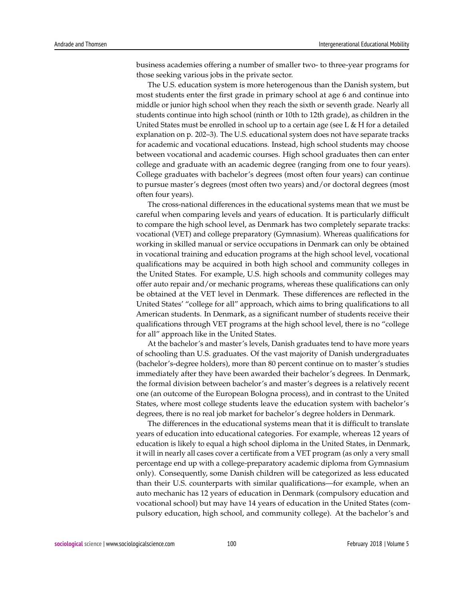business academies offering a number of smaller two- to three-year programs for those seeking various jobs in the private sector.

The U.S. education system is more heterogenous than the Danish system, but most students enter the first grade in primary school at age 6 and continue into middle or junior high school when they reach the sixth or seventh grade. Nearly all students continue into high school (ninth or 10th to 12th grade), as children in the United States must be enrolled in school up to a certain age (see L  $\&$  H for a detailed explanation on p. 202–3). The U.S. educational system does not have separate tracks for academic and vocational educations. Instead, high school students may choose between vocational and academic courses. High school graduates then can enter college and graduate with an academic degree (ranging from one to four years). College graduates with bachelor's degrees (most often four years) can continue to pursue master's degrees (most often two years) and/or doctoral degrees (most often four years).

The cross-national differences in the educational systems mean that we must be careful when comparing levels and years of education. It is particularly difficult to compare the high school level, as Denmark has two completely separate tracks: vocational (VET) and college preparatory (Gymnasium). Whereas qualifications for working in skilled manual or service occupations in Denmark can only be obtained in vocational training and education programs at the high school level, vocational qualifications may be acquired in both high school and community colleges in the United States. For example, U.S. high schools and community colleges may offer auto repair and/or mechanic programs, whereas these qualifications can only be obtained at the VET level in Denmark. These differences are reflected in the United States' "college for all" approach, which aims to bring qualifications to all American students. In Denmark, as a significant number of students receive their qualifications through VET programs at the high school level, there is no "college for all" approach like in the United States.

At the bachelor's and master's levels, Danish graduates tend to have more years of schooling than U.S. graduates. Of the vast majority of Danish undergraduates (bachelor's-degree holders), more than 80 percent continue on to master's studies immediately after they have been awarded their bachelor's degrees. In Denmark, the formal division between bachelor's and master's degrees is a relatively recent one (an outcome of the European Bologna process), and in contrast to the United States, where most college students leave the education system with bachelor's degrees, there is no real job market for bachelor's degree holders in Denmark.

The differences in the educational systems mean that it is difficult to translate years of education into educational categories. For example, whereas 12 years of education is likely to equal a high school diploma in the United States, in Denmark, it will in nearly all cases cover a certificate from a VET program (as only a very small percentage end up with a college-preparatory academic diploma from Gymnasium only). Consequently, some Danish children will be categorized as less educated than their U.S. counterparts with similar qualifications—for example, when an auto mechanic has 12 years of education in Denmark (compulsory education and vocational school) but may have 14 years of education in the United States (compulsory education, high school, and community college). At the bachelor's and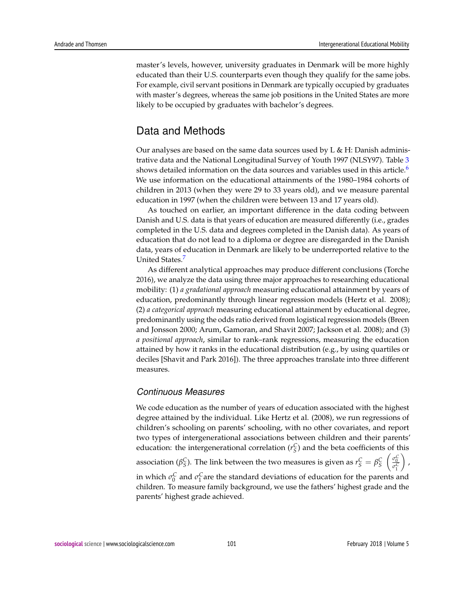master's levels, however, university graduates in Denmark will be more highly educated than their U.S. counterparts even though they qualify for the same jobs. For example, civil servant positions in Denmark are typically occupied by graduates with master's degrees, whereas the same job positions in the United States are more likely to be occupied by graduates with bachelor's degrees.

# Data and Methods

<span id="page-8-0"></span>Our analyses are based on the same data sources used by L & H: Danish administrative data and the National Longitudinal Survey of Youth 1997 (NLSY97). Table [3](#page-9-0) shows detailed information on the data sources and variables used in this article.<sup>[6](#page-16-5)</sup> We use information on the educational attainments of the 1980–1984 cohorts of children in 2013 (when they were 29 to 33 years old), and we measure parental education in 1997 (when the children were between 13 and 17 years old).

As touched on earlier, an important difference in the data coding between Danish and U.S. data is that years of education are measured differently (i.e., grades completed in the U.S. data and degrees completed in the Danish data). As years of education that do not lead to a diploma or degree are disregarded in the Danish data, years of education in Denmark are likely to be underreported relative to the United States.<sup>[7](#page-16-6)</sup>

<span id="page-8-1"></span>As different analytical approaches may produce different conclusions (Torche 2016), we analyze the data using three major approaches to researching educational mobility: (1) *a gradational approach* measuring educational attainment by years of education, predominantly through linear regression models (Hertz et al. 2008); (2) *a categorical approach* measuring educational attainment by educational degree, predominantly using the odds ratio derived from logistical regression models (Breen and Jonsson 2000; Arum, Gamoran, and Shavit 2007; Jackson et al. 2008); and (3) *a positional approach*, similar to rank–rank regressions, measuring the education attained by how it ranks in the educational distribution (e.g., by using quartiles or deciles [Shavit and Park 2016]). The three approaches translate into three different measures.

#### *Continuous Measures*

We code education as the number of years of education associated with the highest degree attained by the individual. Like Hertz et al. (2008), we run regressions of children's schooling on parents' schooling, with no other covariates, and report two types of intergenerational associations between children and their parents' education: the intergenerational correlation  $(r_S^C)$  and the beta coefficients of this  $\begin{pmatrix} \sigma_0^C \\ \overline{\sigma_1^C} \end{pmatrix}$  $\big)$  ,

association ( $\beta_S^C$ ). The link between the two measures is given as  $r_S^C = \beta_S^C$ 

in which  $\sigma_0^C$  and  $\sigma_1^C$  are the standard deviations of education for the parents and children. To measure family background, we use the fathers' highest grade and the parents' highest grade achieved.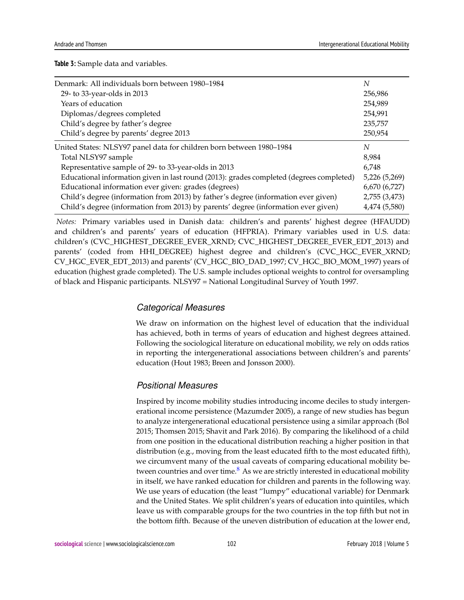<span id="page-9-0"></span>**Table 3:** Sample data and variables.

| Denmark: All individuals born between 1980–1984                                          | N             |
|------------------------------------------------------------------------------------------|---------------|
| 29- to 33-year-olds in 2013                                                              | 256,986       |
| Years of education                                                                       | 254,989       |
| Diplomas/degrees completed                                                               | 254,991       |
| Child's degree by father's degree                                                        | 235,757       |
| Child's degree by parents' degree 2013                                                   | 250,954       |
| United States: NLSY97 panel data for children born between 1980-1984                     | N             |
| Total NLSY97 sample                                                                      | 8,984         |
| Representative sample of 29- to 33-year-olds in 2013                                     | 6.748         |
| Educational information given in last round (2013): grades completed (degrees completed) | 5,226 (5,269) |
| Educational information ever given: grades (degrees)                                     | 6,670 (6,727) |
| Child's degree (information from 2013) by father's degree (information ever given)       | 2,755 (3,473) |
| Child's degree (information from 2013) by parents' degree (information ever given)       | 4,474 (5,580) |

*Notes:* Primary variables used in Danish data: children's and parents' highest degree (HFAUDD) and children's and parents' years of education (HFPRIA). Primary variables used in U.S. data: children's (CVC\_HIGHEST\_DEGREE\_EVER\_XRND; CVC\_HIGHEST\_DEGREE\_EVER\_EDT\_2013) and parents' (coded from HHI\_DEGREE) highest degree and children's (CVC\_HGC\_EVER\_XRND; CV\_HGC\_EVER\_EDT\_2013) and parents' (CV\_HGC\_BIO\_DAD\_1997; CV\_HGC\_BIO\_MOM\_1997) years of education (highest grade completed). The U.S. sample includes optional weights to control for oversampling of black and Hispanic participants. NLSY97 = National Longitudinal Survey of Youth 1997.

#### *Categorical Measures*

We draw on information on the highest level of education that the individual has achieved, both in terms of years of education and highest degrees attained. Following the sociological literature on educational mobility, we rely on odds ratios in reporting the intergenerational associations between children's and parents' education (Hout 1983; Breen and Jonsson 2000).

#### *Positional Measures*

<span id="page-9-1"></span>Inspired by income mobility studies introducing income deciles to study intergenerational income persistence (Mazumder 2005), a range of new studies has begun to analyze intergenerational educational persistence using a similar approach (Bol 2015; Thomsen 2015; Shavit and Park 2016). By comparing the likelihood of a child from one position in the educational distribution reaching a higher position in that distribution (e.g., moving from the least educated fifth to the most educated fifth), we circumvent many of the usual caveats of comparing educational mobility between countries and over time. $8$  As we are strictly interested in educational mobility in itself, we have ranked education for children and parents in the following way. We use years of education (the least "lumpy" educational variable) for Denmark and the United States. We split children's years of education into quintiles, which leave us with comparable groups for the two countries in the top fifth but not in the bottom fifth. Because of the uneven distribution of education at the lower end,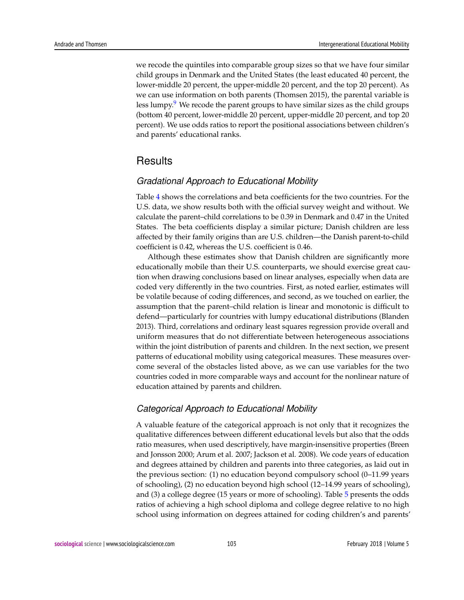<span id="page-10-0"></span>we recode the quintiles into comparable group sizes so that we have four similar child groups in Denmark and the United States (the least educated 40 percent, the lower-middle 20 percent, the upper-middle 20 percent, and the top 20 percent). As we can use information on both parents (Thomsen 2015), the parental variable is less lumpy. $9$  We recode the parent groups to have similar sizes as the child groups (bottom 40 percent, lower-middle 20 percent, upper-middle 20 percent, and top 20 percent). We use odds ratios to report the positional associations between children's and parents' educational ranks.

## Results

#### *Gradational Approach to Educational Mobility*

Table [4](#page-11-0) shows the correlations and beta coefficients for the two countries. For the U.S. data, we show results both with the official survey weight and without. We calculate the parent–child correlations to be 0.39 in Denmark and 0.47 in the United States. The beta coefficients display a similar picture; Danish children are less affected by their family origins than are U.S. children—the Danish parent-to-child coefficient is 0.42, whereas the U.S. coefficient is 0.46.

Although these estimates show that Danish children are significantly more educationally mobile than their U.S. counterparts, we should exercise great caution when drawing conclusions based on linear analyses, especially when data are coded very differently in the two countries. First, as noted earlier, estimates will be volatile because of coding differences, and second, as we touched on earlier, the assumption that the parent–child relation is linear and monotonic is difficult to defend—particularly for countries with lumpy educational distributions (Blanden 2013). Third, correlations and ordinary least squares regression provide overall and uniform measures that do not differentiate between heterogeneous associations within the joint distribution of parents and children. In the next section, we present patterns of educational mobility using categorical measures. These measures overcome several of the obstacles listed above, as we can use variables for the two countries coded in more comparable ways and account for the nonlinear nature of education attained by parents and children.

#### *Categorical Approach to Educational Mobility*

A valuable feature of the categorical approach is not only that it recognizes the qualitative differences between different educational levels but also that the odds ratio measures, when used descriptively, have margin-insensitive properties (Breen and Jonsson 2000; Arum et al. 2007; Jackson et al. 2008). We code years of education and degrees attained by children and parents into three categories, as laid out in the previous section: (1) no education beyond compulsory school (0–11.99 years of schooling), (2) no education beyond high school (12–14.99 years of schooling), and (3) a college degree (15 years or more of schooling). Table [5](#page-12-0) presents the odds ratios of achieving a high school diploma and college degree relative to no high school using information on degrees attained for coding children's and parents'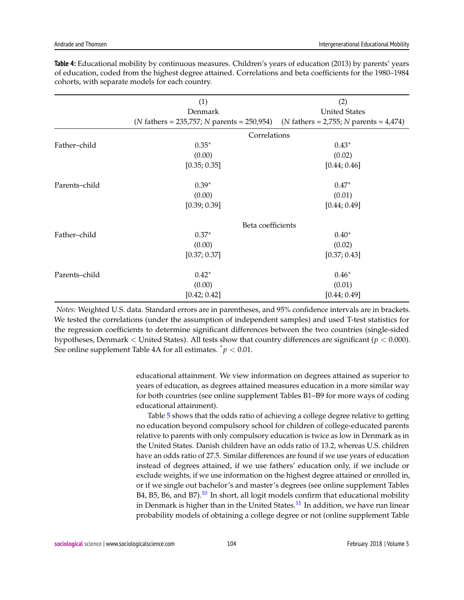|               | (1)                                                                                                             | (2)                  |  |  |  |
|---------------|-----------------------------------------------------------------------------------------------------------------|----------------------|--|--|--|
|               | Denmark                                                                                                         | <b>United States</b> |  |  |  |
|               | ( <i>N</i> fathers = 235,757; <i>N</i> parents = 250,954) ( <i>N</i> fathers = 2,755; <i>N</i> parents = 4,474) |                      |  |  |  |
|               |                                                                                                                 | Correlations         |  |  |  |
| Father-child  | $0.35*$                                                                                                         | $0.43*$              |  |  |  |
|               | (0.00)                                                                                                          | (0.02)               |  |  |  |
|               | [0.35; 0.35]                                                                                                    | [0.44; 0.46]         |  |  |  |
| Parents-child | $0.39*$                                                                                                         | $0.47*$              |  |  |  |
|               | (0.00)                                                                                                          | (0.01)               |  |  |  |
|               | [0.39; 0.39]                                                                                                    | [0.44; 0.49]         |  |  |  |
|               |                                                                                                                 | Beta coefficients    |  |  |  |
| Father-child  | $0.37*$                                                                                                         | $0.40*$              |  |  |  |
|               | (0.00)                                                                                                          | (0.02)               |  |  |  |
|               | [0.37; 0.37]                                                                                                    | [0.37; 0.43]         |  |  |  |
| Parents-child | $0.42*$                                                                                                         | $0.46*$              |  |  |  |
|               | (0.00)                                                                                                          | (0.01)               |  |  |  |
|               | [0.42; 0.42]                                                                                                    | [0.44; 0.49]         |  |  |  |

<span id="page-11-0"></span>**Table 4:** Educational mobility by continuous measures. Children's years of education (2013) by parents' years of education, coded from the highest degree attained. Correlations and beta coefficients for the 1980–1984 cohorts, with separate models for each country.

*Notes:* Weighted U.S. data. Standard errors are in parentheses, and 95% confidence intervals are in brackets. We tested the correlations (under the assumption of independent samples) and used T-test statistics for the regression coefficients to determine significant differences between the two countries (single-sided hypotheses, Denmark < United States). All tests show that country differences are significant (*p* < 0.000). See online supplement Table 4A for all estimates.  $\dot{p}$  < 0.01.

> educational attainment. We view information on degrees attained as superior to years of education, as degrees attained measures education in a more similar way for both countries (see online supplement Tables B1–B9 for more ways of coding educational attainment).

> <span id="page-11-2"></span><span id="page-11-1"></span>Table [5](#page-12-0) shows that the odds ratio of achieving a college degree relative to getting no education beyond compulsory school for children of college-educated parents relative to parents with only compulsory education is twice as low in Denmark as in the United States. Danish children have an odds ratio of 13.2, whereas U.S. children have an odds ratio of 27.5. Similar differences are found if we use years of education instead of degrees attained, if we use fathers' education only, if we include or exclude weights, if we use information on the highest degree attained or enrolled in, or if we single out bachelor's and master's degrees (see online supplement Tables B4, B5, B6, and B7 $\cdot$ .<sup>[10](#page-17-2)</sup> In short, all logit models confirm that educational mobility in Denmark is higher than in the United States.<sup>[11](#page-17-3)</sup> In addition, we have run linear probability models of obtaining a college degree or not (online supplement Table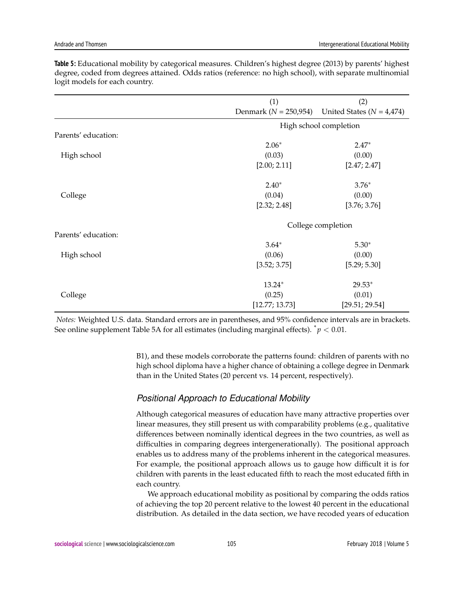|                     | (1)            | (2)                                                     |  |  |  |
|---------------------|----------------|---------------------------------------------------------|--|--|--|
|                     |                | Denmark ( $N = 250,954$ ) United States ( $N = 4,474$ ) |  |  |  |
|                     |                | High school completion                                  |  |  |  |
| Parents' education: |                |                                                         |  |  |  |
|                     | $2.06*$        | $2.47*$                                                 |  |  |  |
| High school         | (0.03)         | (0.00)                                                  |  |  |  |
|                     | [2.00; 2.11]   | [2.47; 2.47]                                            |  |  |  |
|                     | $2.40*$        | $3.76*$                                                 |  |  |  |
| College             | (0.04)         | (0.00)                                                  |  |  |  |
|                     | [2.32; 2.48]   | [3.76; 3.76]                                            |  |  |  |
|                     |                | College completion                                      |  |  |  |
| Parents' education: |                |                                                         |  |  |  |
|                     | $3.64*$        | $5.30*$                                                 |  |  |  |
| High school         | (0.06)         | (0.00)                                                  |  |  |  |
|                     | [3.52; 3.75]   | [5.29; 5.30]                                            |  |  |  |
|                     | 13.24*         | $29.53*$                                                |  |  |  |
| College             | (0.25)         | (0.01)                                                  |  |  |  |
|                     | [12.77; 13.73] | [29.51; 29.54]                                          |  |  |  |

<span id="page-12-0"></span>**Table 5:** Educational mobility by categorical measures. Children's highest degree (2013) by parents' highest degree, coded from degrees attained. Odds ratios (reference: no high school), with separate multinomial logit models for each country.

*Notes:* Weighted U.S. data. Standard errors are in parentheses, and 95% confidence intervals are in brackets. See online supplement Table 5A for all estimates (including marginal effects).  $\dot{p}$  < 0.01.

> B1), and these models corroborate the patterns found: children of parents with no high school diploma have a higher chance of obtaining a college degree in Denmark than in the United States (20 percent vs. 14 percent, respectively).

### *Positional Approach to Educational Mobility*

Although categorical measures of education have many attractive properties over linear measures, they still present us with comparability problems (e.g., qualitative differences between nominally identical degrees in the two countries, as well as difficulties in comparing degrees intergenerationally). The positional approach enables us to address many of the problems inherent in the categorical measures. For example, the positional approach allows us to gauge how difficult it is for children with parents in the least educated fifth to reach the most educated fifth in each country.

We approach educational mobility as positional by comparing the odds ratios of achieving the top 20 percent relative to the lowest 40 percent in the educational distribution. As detailed in the data section, we have recoded years of education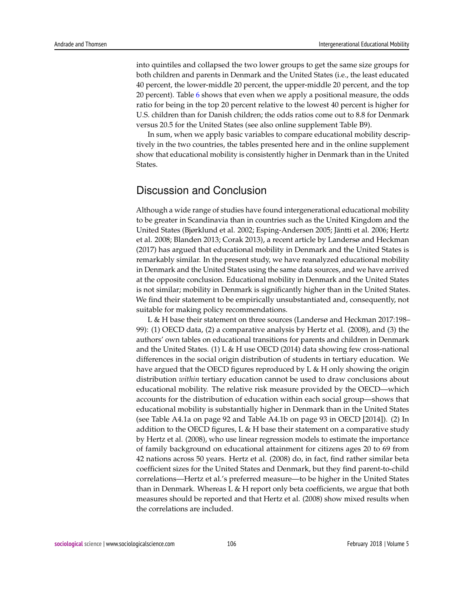into quintiles and collapsed the two lower groups to get the same size groups for both children and parents in Denmark and the United States (i.e., the least educated 40 percent, the lower-middle 20 percent, the upper-middle 20 percent, and the top 20 percent). Table [6](#page-14-0) shows that even when we apply a positional measure, the odds ratio for being in the top 20 percent relative to the lowest 40 percent is higher for U.S. children than for Danish children; the odds ratios come out to 8.8 for Denmark versus 20.5 for the United States (see also online supplement Table B9).

In sum, when we apply basic variables to compare educational mobility descriptively in the two countries, the tables presented here and in the online supplement show that educational mobility is consistently higher in Denmark than in the United States.

## Discussion and Conclusion

Although a wide range of studies have found intergenerational educational mobility to be greater in Scandinavia than in countries such as the United Kingdom and the United States (Bjørklund et al. 2002; Esping-Andersen 2005; Jäntti et al. 2006; Hertz et al. 2008; Blanden 2013; Corak 2013), a recent article by Landersø and Heckman (2017) has argued that educational mobility in Denmark and the United States is remarkably similar. In the present study, we have reanalyzed educational mobility in Denmark and the United States using the same data sources, and we have arrived at the opposite conclusion. Educational mobility in Denmark and the United States is not similar; mobility in Denmark is significantly higher than in the United States. We find their statement to be empirically unsubstantiated and, consequently, not suitable for making policy recommendations.

L & H base their statement on three sources (Landersø and Heckman 2017:198– 99): (1) OECD data, (2) a comparative analysis by Hertz et al. (2008), and (3) the authors' own tables on educational transitions for parents and children in Denmark and the United States. (1) L & H use OECD (2014) data showing few cross-national differences in the social origin distribution of students in tertiary education. We have argued that the OECD figures reproduced by L & H only showing the origin distribution *within* tertiary education cannot be used to draw conclusions about educational mobility. The relative risk measure provided by the OECD—which accounts for the distribution of education within each social group—shows that educational mobility is substantially higher in Denmark than in the United States (see Table A4.1a on page 92 and Table A4.1b on page 93 in OECD [2014]). (2) In addition to the OECD figures, L  $\&$  H base their statement on a comparative study by Hertz et al. (2008), who use linear regression models to estimate the importance of family background on educational attainment for citizens ages 20 to 69 from 42 nations across 50 years. Hertz et al. (2008) do, in fact, find rather similar beta coefficient sizes for the United States and Denmark, but they find parent-to-child correlations—Hertz et al.'s preferred measure—to be higher in the United States than in Denmark. Whereas L & H report only beta coefficients, we argue that both measures should be reported and that Hertz et al. (2008) show mixed results when the correlations are included.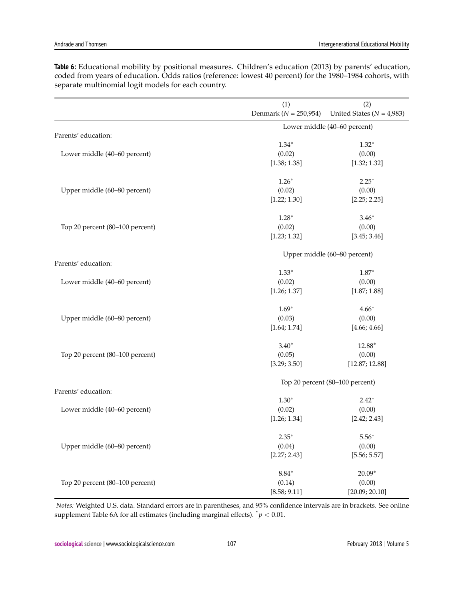|                                 | (1)                       | (2)                             |
|---------------------------------|---------------------------|---------------------------------|
|                                 | Denmark ( $N = 250,954$ ) | United States ( $N = 4,983$ )   |
|                                 |                           | Lower middle (40-60 percent)    |
| Parents' education:             |                           |                                 |
|                                 | $1.34*$                   | $1.32*$                         |
| Lower middle (40-60 percent)    | (0.02)                    | (0.00)                          |
|                                 | [1.38; 1.38]              | [1.32; 1.32]                    |
|                                 | $1.26*$                   | $2.25*$                         |
| Upper middle (60-80 percent)    | (0.02)                    | (0.00)                          |
|                                 | [1.22; 1.30]              | [2.25; 2.25]                    |
|                                 | $1.28*$                   | $3.46*$                         |
| Top 20 percent (80-100 percent) | (0.02)                    | (0.00)                          |
|                                 | [1.23; 1.32]              | [3.45; 3.46]                    |
|                                 |                           | Upper middle (60-80 percent)    |
| Parents' education:             | $1.33*$                   | $1.87*$                         |
| Lower middle (40-60 percent)    | (0.02)                    | (0.00)                          |
|                                 | [1.26; 1.37]              | [1.87; 1.88]                    |
|                                 | $1.69*$                   | $4.66*$                         |
| Upper middle (60-80 percent)    | (0.03)                    | (0.00)                          |
|                                 | [1.64; 1.74]              | [4.66; 4.66]                    |
|                                 | $3.40*$                   | 12.88*                          |
| Top 20 percent (80-100 percent) | (0.05)                    | (0.00)                          |
|                                 | [3.29; 3.50]              | [12.87; 12.88]                  |
|                                 |                           | Top 20 percent (80-100 percent) |
| Parents' education:             |                           |                                 |
|                                 | $1.30*$                   | $2.42*$                         |
| Lower middle (40-60 percent)    | (0.02)                    | (0.00)                          |
|                                 | [1.26; 1.34]              | [2.42; 2.43]                    |
|                                 | $2.35*$                   | $5.56*$                         |
| Upper middle (60-80 percent)    | (0.04)                    | (0.00)                          |
|                                 | [2.27; 2.43]              | [5.56; 5.57]                    |
|                                 | $8.84*$                   | $20.09*$                        |
| Top 20 percent (80-100 percent) | (0.14)                    | (0.00)                          |
|                                 | [8.58; 9.11]              | [20.09; 20.10]                  |

<span id="page-14-0"></span>**Table 6:** Educational mobility by positional measures. Children's education (2013) by parents' education, coded from years of education. Odds ratios (reference: lowest 40 percent) for the 1980–1984 cohorts, with separate multinomial logit models for each country.

*Notes:* Weighted U.S. data. Standard errors are in parentheses, and 95% confidence intervals are in brackets. See online supplement Table 6A for all estimates (including marginal effects).  $\dot{p}$  < 0.01.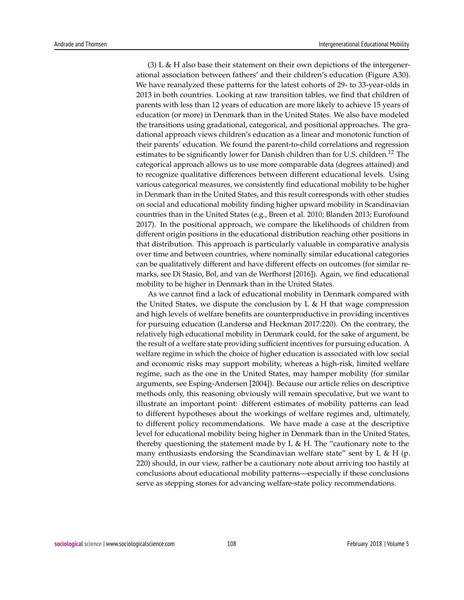<span id="page-15-0"></span> $(3)$  L & H also base their statement on their own depictions of the intergenerational association between fathers' and their children's education (Figure A30). We have reanalyzed these patterns for the latest cohorts of 29- to 33-year-olds in 2013 in both countries. Looking at raw transition tables, we find that children of parents with less than 12 years of education are more likely to achieve 15 years of education (or more) in Denmark than in the United States. We also have modeled the transitions using gradational, categorical, and positional approaches. The gradational approach views children's education as a linear and monotonic function of their parents' education. We found the parent-to-child correlations and regression estimates to be significantly lower for Danish children than for U.S. children.<sup>[12](#page-17-4)</sup> The categorical approach allows us to use more comparable data (degrees attained) and to recognize qualitative differences between different educational levels. Using various categorical measures, we consistently find educational mobility to be higher in Denmark than in the United States, and this result corresponds with other studies on social and educational mobility finding higher upward mobility in Scandinavian countries than in the United States (e.g., Breen et al. 2010; Blanden 2013; Eurofound 2017). In the positional approach, we compare the likelihoods of children from different origin positions in the educational distribution reaching other positions in that distribution. This approach is particularly valuable in comparative analysis over time and between countries, where nominally similar educational categories can be qualitatively different and have different effects on outcomes (for similar remarks, see Di Stasio, Bol, and van de Werfhorst [2016]). Again, we find educational mobility to be higher in Denmark than in the United States.

As we cannot find a lack of educational mobility in Denmark compared with the United States, we dispute the conclusion by  $L \& H$  that wage compression and high levels of welfare benefits are counterproductive in providing incentives for pursuing education (Landersø and Heckman 2017:220). On the contrary, the relatively high educational mobility in Denmark could, for the sake of argument, be the result of a welfare state providing sufficient incentives for pursuing education. A welfare regime in which the choice of higher education is associated with low social and economic risks may support mobility, whereas a high-risk, limited welfare regime, such as the one in the United States, may hamper mobility (for similar arguments, see Esping-Andersen [2004]). Because our article relies on descriptive methods only, this reasoning obviously will remain speculative, but we want to illustrate an important point: different estimates of mobility patterns can lead to different hypotheses about the workings of welfare regimes and, ultimately, to different policy recommendations. We have made a case at the descriptive level for educational mobility being higher in Denmark than in the United States, thereby questioning the statement made by  $L \& H$ . The "cautionary note to the many enthusiasts endorsing the Scandinavian welfare state" sent by L & H (p. 220) should, in our view, rather be a cautionary note about arriving too hastily at conclusions about educational mobility patterns—especially if these conclusions serve as stepping stones for advancing welfare-state policy recommendations.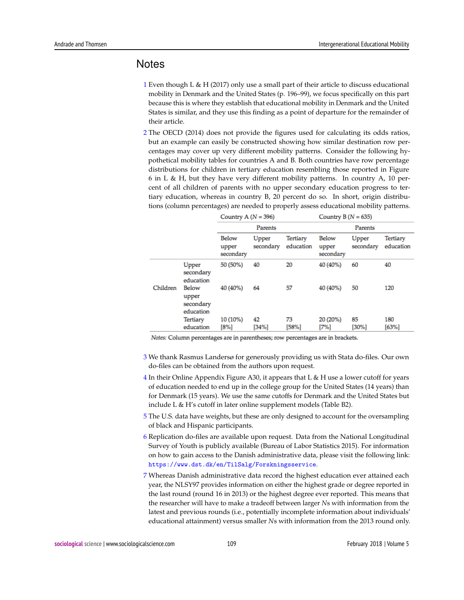## **Notes**

- <span id="page-16-0"></span>[1](#page-1-0) Even though L & H (2017) only use a small part of their article to discuss educational mobility in Denmark and the United States (p. 196–99), we focus specifically on this part because this is where they establish that educational mobility in Denmark and the United States is similar, and they use this finding as a point of departure for the remainder of their article.
- <span id="page-16-1"></span>[2](#page-3-0) The OECD (2014) does not provide the figures used for calculating its odds ratios, but an example can easily be constructed showing how similar destination row percentages may cover up very different mobility patterns. Consider the following hypothetical mobility tables for countries A and B. Both countries have row percentage distributions for children in tertiary education resembling those reported in Figure 6 in L & H, but they have very different mobility patterns. In country A, 10 percent of all children of parents with no upper secondary education progress to tertiary education, whereas in country B, 20 percent do so. In short, origin distributions (column percentages) are needed to properly assess educational mobility patterns.

|          |                                          | Country A $(N = 396)$              |                    |                              | Country B $(N = 635)$              |                    |                              |
|----------|------------------------------------------|------------------------------------|--------------------|------------------------------|------------------------------------|--------------------|------------------------------|
|          |                                          | Parents                            |                    |                              | Parents                            |                    |                              |
|          |                                          | <b>Below</b><br>upper<br>secondary | Upper<br>secondary | <b>Tertiary</b><br>education | <b>Below</b><br>upper<br>secondary | Upper<br>secondary | <b>Tertiary</b><br>education |
|          | Upper<br>secondary<br>education          | 50 (50%)                           | 40                 | 20                           | 40 (40%)                           | 60                 | 40                           |
| Children | Below<br>upper<br>secondary<br>education | 40 (40%)                           | 64                 | 57                           | 40 (40%)                           | 50                 | 120                          |
|          | <b>Tertiary</b><br>education             | 10 (10%)<br>[8%]                   | 42<br>[34%]        | 73<br>[58%]                  | 20 (20%)<br>[7%]                   | 85<br>[30%]        | 180<br>[63%]                 |

Notes: Column percentages are in parentheses; row percentages are in brackets.

- <span id="page-16-2"></span>[3](#page-4-0) We thank Rasmus Landersø for generously providing us with Stata do-files. Our own do-files can be obtained from the authors upon request.
- <span id="page-16-3"></span>[4](#page-4-1) In their Online Appendix Figure A30, it appears that  $L \& H$  use a lower cutoff for years of education needed to end up in the college group for the United States (14 years) than for Denmark (15 years). We use the same cutoffs for Denmark and the United States but include L & H's cutoff in later online supplement models (Table B2).
- <span id="page-16-4"></span>[5](#page-6-0) The U.S. data have weights, but these are only designed to account for the oversampling of black and Hispanic participants.
- <span id="page-16-5"></span>[6](#page-8-0) Replication do-files are available upon request. Data from the National Longitudinal Survey of Youth is publicly available (Bureau of Labor Statistics 2015). For information on how to gain access to the Danish administrative data, please visit the following link: <https://www.dst.dk/en/TilSalg/Forskningsservice>.
- <span id="page-16-6"></span>[7](#page-8-1) Whereas Danish administrative data record the highest education ever attained each year, the NLSY97 provides information on either the highest grade or degree reported in the last round (round 16 in 2013) or the highest degree ever reported. This means that the researcher will have to make a tradeoff between larger *N*s with information from the latest and previous rounds (i.e., potentially incomplete information about individuals' educational attainment) versus smaller *N*s with information from the 2013 round only.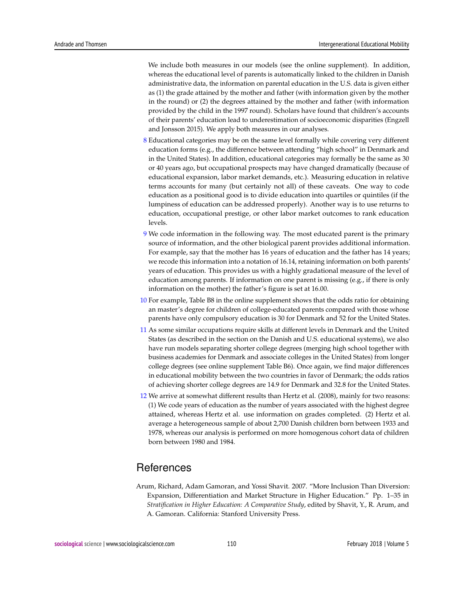We include both measures in our models (see the online supplement). In addition, whereas the educational level of parents is automatically linked to the children in Danish administrative data, the information on parental education in the U.S. data is given either as (1) the grade attained by the mother and father (with information given by the mother in the round) or (2) the degrees attained by the mother and father (with information provided by the child in the 1997 round). Scholars have found that children's accounts of their parents' education lead to underestimation of socioeconomic disparities (Engzell and Jonsson 2015). We apply both measures in our analyses.

- <span id="page-17-0"></span>[8](#page-9-1) Educational categories may be on the same level formally while covering very different education forms (e.g., the difference between attending "high school" in Denmark and in the United States). In addition, educational categories may formally be the same as 30 or 40 years ago, but occupational prospects may have changed dramatically (because of educational expansion, labor market demands, etc.). Measuring education in relative terms accounts for many (but certainly not all) of these caveats. One way to code education as a positional good is to divide education into quartiles or quintiles (if the lumpiness of education can be addressed properly). Another way is to use returns to education, occupational prestige, or other labor market outcomes to rank education levels.
- <span id="page-17-1"></span>[9](#page-10-0) We code information in the following way. The most educated parent is the primary source of information, and the other biological parent provides additional information. For example, say that the mother has 16 years of education and the father has 14 years; we recode this information into a notation of 16.14, retaining information on both parents' years of education. This provides us with a highly gradational measure of the level of education among parents. If information on one parent is missing (e.g., if there is only information on the mother) the father's figure is set at 16.00.
- <span id="page-17-2"></span>[10](#page-11-1) For example, Table B8 in the online supplement shows that the odds ratio for obtaining an master's degree for children of college-educated parents compared with those whose parents have only compulsory education is 30 for Denmark and 52 for the United States.
- <span id="page-17-3"></span>[11](#page-11-2) As some similar occupations require skills at different levels in Denmark and the United States (as described in the section on the Danish and U.S. educational systems), we also have run models separating shorter college degrees (merging high school together with business academies for Denmark and associate colleges in the United States) from longer college degrees (see online supplement Table B6). Once again, we find major differences in educational mobility between the two countries in favor of Denmark; the odds ratios of achieving shorter college degrees are 14.9 for Denmark and 32.8 for the United States.
- <span id="page-17-4"></span>[12](#page-15-0) We arrive at somewhat different results than Hertz et al. (2008), mainly for two reasons: (1) We code years of education as the number of years associated with the highest degree attained, whereas Hertz et al. use information on grades completed. (2) Hertz et al. average a heterogeneous sample of about 2,700 Danish children born between 1933 and 1978, whereas our analysis is performed on more homogenous cohort data of children born between 1980 and 1984.

# **References**

Arum, Richard, Adam Gamoran, and Yossi Shavit. 2007. "More Inclusion Than Diversion: Expansion, Differentiation and Market Structure in Higher Education." Pp. 1–35 in *Stratification in Higher Education: A Comparative Study*, edited by Shavit, Y., R. Arum, and A. Gamoran. California: Stanford University Press.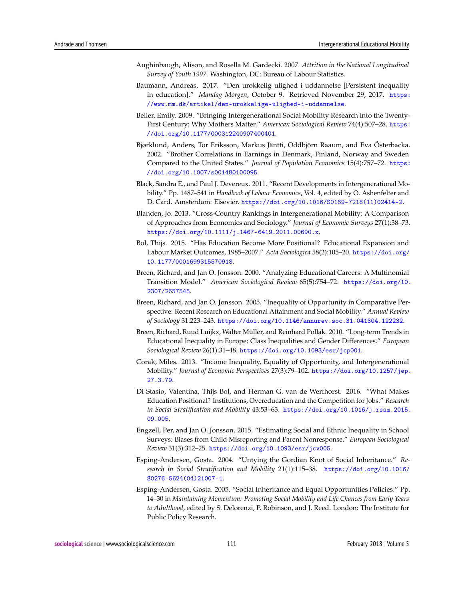- Aughinbaugh, Alison, and Rosella M. Gardecki. 2007. *Attrition in the National Longitudinal Survey of Youth 1997*. Washington, DC: Bureau of Labour Statistics.
- Baumann, Andreas. 2017. "Den urokkelig ulighed i uddannelse [Persistent inequality in education]." *Mandag Morgen*, October 9. Retrieved November 29, 2017. [https:](https://www.mm.dk/artikel/den-urokkelige-ulighed-i-uddannelse) [//www.mm.dk/artikel/den-urokkelige-ulighed-i-uddannelse](https://www.mm.dk/artikel/den-urokkelige-ulighed-i-uddannelse).
- Beller, Emily. 2009. "Bringing Intergenerational Social Mobility Research into the Twenty-First Century: Why Mothers Matter." *American Sociological Review* 74(4):507–28. [https:](https://doi.org/10.1177/000312240907400401) [//doi.org/10.1177/000312240907400401](https://doi.org/10.1177/000312240907400401).
- Bjørklund, Anders, Tor Eriksson, Markus Jäntti, Oddbjörn Raaum, and Eva Österbacka. 2002. "Brother Correlations in Earnings in Denmark, Finland, Norway and Sweden Compared to the United States." *Journal of Population Economics* 15(4):757–72. [https:](https://doi.org/10.1007/s001480100095) [//doi.org/10.1007/s001480100095](https://doi.org/10.1007/s001480100095).
- Black, Sandra E., and Paul J. Devereux. 2011. "Recent Developments in Intergenerational Mobility." Pp. 1487–541 in *Handbook of Labour Economics*, Vol. 4, edited by O. Ashenfelter and D. Card. Amsterdam: Elsevier. [https://doi.org/10.1016/S0169-7218\(11\)02414-2](https://doi.org/10.1016/S0169-7218(11)02414-2).
- Blanden, Jo. 2013. "Cross-Country Rankings in Intergenerational Mobility: A Comparison of Approaches from Economics and Sociology." *Journal of Economic Surveys* 27(1):38–73. <https://doi.org/10.1111/j.1467-6419.2011.00690.x>.
- Bol, Thijs. 2015. "Has Education Become More Positional? Educational Expansion and Labour Market Outcomes, 1985–2007." *Acta Sociologica* 58(2):105–20. [https://doi.org/](https://doi.org/10.1177/0001699315570918) [10.1177/0001699315570918](https://doi.org/10.1177/0001699315570918).
- Breen, Richard, and Jan O. Jonsson. 2000. "Analyzing Educational Careers: A Multinomial Transition Model." *American Sociological Review* 65(5):754–72. [https://doi.org/10.](https://doi.org/10.2307/2657545) [2307/2657545](https://doi.org/10.2307/2657545).
- Breen, Richard, and Jan O. Jonsson. 2005. "Inequality of Opportunity in Comparative Perspective: Recent Research on Educational Attainment and Social Mobility." *Annual Review of Sociology* 31:223–243. <https://doi.org/10.1146/annurev.soc.31.041304.122232>.
- Breen, Richard, Ruud Luijkx, Walter Müller, and Reinhard Pollak. 2010. "Long-term Trends in Educational Inequality in Europe: Class Inequalities and Gender Differences." *European Sociological Review* 26(1):31–48. <https://doi.org/10.1093/esr/jcp001>.
- Corak, Miles. 2013. "Income Inequality, Equality of Opportunity, and Intergenerational Mobility." *Journal of Economic Perspectives* 27(3):79–102. [https://doi.org/10.1257/jep.](https://doi.org/10.1257/jep.27.3.79) [27.3.79](https://doi.org/10.1257/jep.27.3.79).
- Di Stasio, Valentina, Thijs Bol, and Herman G. van de Werfhorst. 2016. "What Makes Education Positional? Institutions, Overeducation and the Competition for Jobs." *Research in Social Stratification and Mobility* 43:53–63. [https://doi.org/10.1016/j.rssm.2015.](https://doi.org/10.1016/j.rssm.2015.09.005) [09.005](https://doi.org/10.1016/j.rssm.2015.09.005).
- Engzell, Per, and Jan O. Jonsson. 2015. "Estimating Social and Ethnic Inequality in School Surveys: Biases from Child Misreporting and Parent Nonresponse." *European Sociological Review* 31(3):312–25. <https://doi.org/10.1093/esr/jcv005>.
- Esping-Andersen, Gosta. 2004. "Untying the Gordian Knot of Social Inheritance." *Research in Social Stratification and Mobility* 21(1):115–38. [https://doi.org/10.1016/](https://doi.org/10.1016/S0276-5624(04)21007-1) [S0276-5624\(04\)21007-1](https://doi.org/10.1016/S0276-5624(04)21007-1).
- Esping-Andersen, Gosta. 2005. "Social Inheritance and Equal Opportunities Policies." Pp. 14–30 in *Maintaining Momentum: Promoting Social Mobility and Life Chances from Early Years to Adulthood*, edited by S. Delorenzi, P. Robinson, and J. Reed. London: The Institute for Public Policy Research.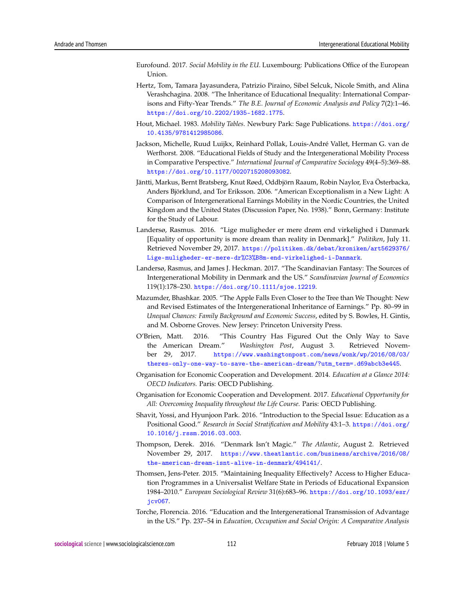- Eurofound. 2017. *Social Mobility in the EU*. Luxembourg: Publications Office of the European Union.
- Hertz, Tom, Tamara Jayasundera, Patrizio Piraino, Sibel Selcuk, Nicole Smith, and Alina Verashchagina. 2008. "The Inheritance of Educational Inequality: International Comparisons and Fifty-Year Trends." *The B.E. Journal of Economic Analysis and Policy* 7(2):1–46. <https://doi.org/10.2202/1935-1682.1775>.
- Hout, Michael. 1983. *Mobility Tables.* Newbury Park: Sage Publications. [https://doi.org/](https://doi.org/10.4135/9781412985086) [10.4135/9781412985086](https://doi.org/10.4135/9781412985086).
- Jackson, Michelle, Ruud Luijkx, Reinhard Pollak, Louis-André Vallet, Herman G. van de Werfhorst. 2008. "Educational Fields of Study and the Intergenerational Mobility Process in Comparative Perspective." *International Journal of Comparative Sociology* 49(4–5):369–88. <https://doi.org/10.1177/0020715208093082>.
- Jäntti, Markus, Bernt Bratsberg, Knut Røed, Oddbjörn Raaum, Robin Naylor, Eva Österbacka, Anders Björklund, and Tor Eriksson. 2006. "American Exceptionalism in a New Light: A Comparison of Intergenerational Earnings Mobility in the Nordic Countries, the United Kingdom and the United States (Discussion Paper, No. 1938)." Bonn, Germany: Institute for the Study of Labour.
- Landersø, Rasmus. 2016. "Lige muligheder er mere drøm end virkelighed i Danmark [Equality of opportunity is more dream than reality in Denmark]." *Politiken*, July 11. Retrieved November 29, 2017. [https://politiken.dk/debat/kroniken/art5629376/](https://politiken.dk/debat/kroniken/art5629376/Lige-muligheder-er-mere-dr%C3%B8m-end-virkelighed-i-Danmark) [Lige-muligheder-er-mere-dr%C3%B8m-end-virkelighed-i-Danmark](https://politiken.dk/debat/kroniken/art5629376/Lige-muligheder-er-mere-dr%C3%B8m-end-virkelighed-i-Danmark).
- Landersø, Rasmus, and James J. Heckman. 2017. "The Scandinavian Fantasy: The Sources of Intergenerational Mobility in Denmark and the US." *Scandinavian Journal of Economics* 119(1):178–230. <https://doi.org/10.1111/sjoe.12219>.
- Mazumder, Bhashkar. 2005. "The Apple Falls Even Closer to the Tree than We Thought: New and Revised Estimates of the Intergenerational Inheritance of Earnings." Pp. 80–99 in *Unequal Chances: Family Background and Economic Success*, edited by S. Bowles, H. Gintis, and M. Osborne Groves. New Jersey: Princeton University Press.
- O'Brien, Matt. 2016. "This Country Has Figured Out the Only Way to Save the American Dream." *Washington Post*, August 3. Retrieved November 29, 2017. [https://www.washingtonpost.com/news/wonk/wp/2016/08/03/](https://www.washingtonpost.com/news/wonk/wp/2016/08/03/theres-only-one-way-to-save-the-american-dream/?utm_term=.d69abcb3e445) [theres-only-one-way-to-save-the-american-dream/?utm\\_term=.d69abcb3e445](https://www.washingtonpost.com/news/wonk/wp/2016/08/03/theres-only-one-way-to-save-the-american-dream/?utm_term=.d69abcb3e445).
- Organisation for Economic Cooperation and Development. 2014. *Education at a Glance 2014: OECD Indicators.* Paris: OECD Publishing.
- Organisation for Economic Cooperation and Development. 2017. *Educational Opportunity for All: Overcoming Inequality throughout the Life Course.* Paris: OECD Publishing.
- Shavit, Yossi, and Hyunjoon Park. 2016. "Introduction to the Special Issue: Education as a Positional Good." *Research in Social Stratification and Mobility* 43:1–3. [https://doi.org/](https://doi.org/10.1016/j.rssm.2016.03.003) [10.1016/j.rssm.2016.03.003](https://doi.org/10.1016/j.rssm.2016.03.003).
- Thompson, Derek. 2016. "Denmark Isn't Magic." *The Atlantic*, August 2. Retrieved November 29, 2017. [https://www.theatlantic.com/business/archive/2016/08/](https://www.theatlantic.com/business/archive/2016/08/the-american-dream-isnt-alive-in-denmark/494141/) [the-american-dream-isnt-alive-in-denmark/494141/](https://www.theatlantic.com/business/archive/2016/08/the-american-dream-isnt-alive-in-denmark/494141/).
- Thomsen, Jens-Peter. 2015. "Maintaining Inequality Effectively? Access to Higher Education Programmes in a Universalist Welfare State in Periods of Educational Expansion 1984–2010." *European Sociological Review* 31(6):683–96. [https://doi.org/10.1093/esr/](https://doi.org/10.1093/esr/jcv067) [jcv067](https://doi.org/10.1093/esr/jcv067).
- Torche, Florencia. 2016. "Education and the Intergenerational Transmission of Advantage in the US." Pp. 237–54 in *Education, Occupation and Social Origin: A Comparative Analysis*